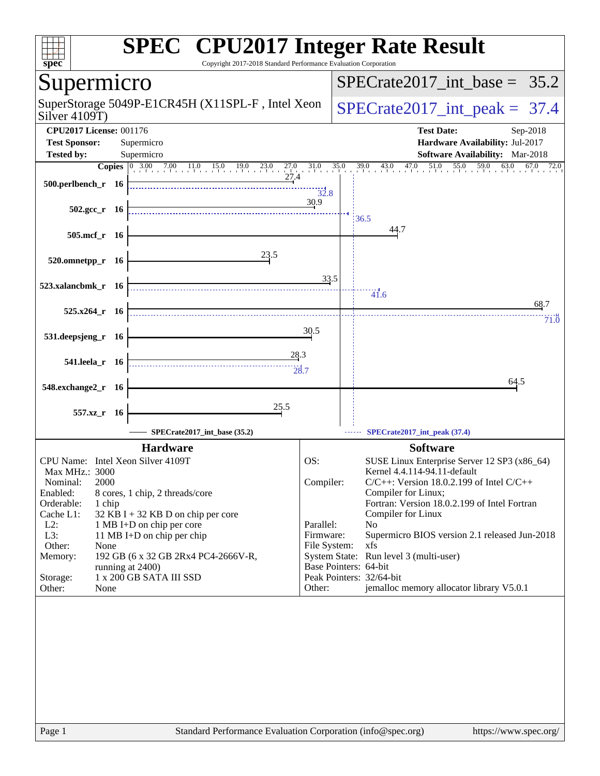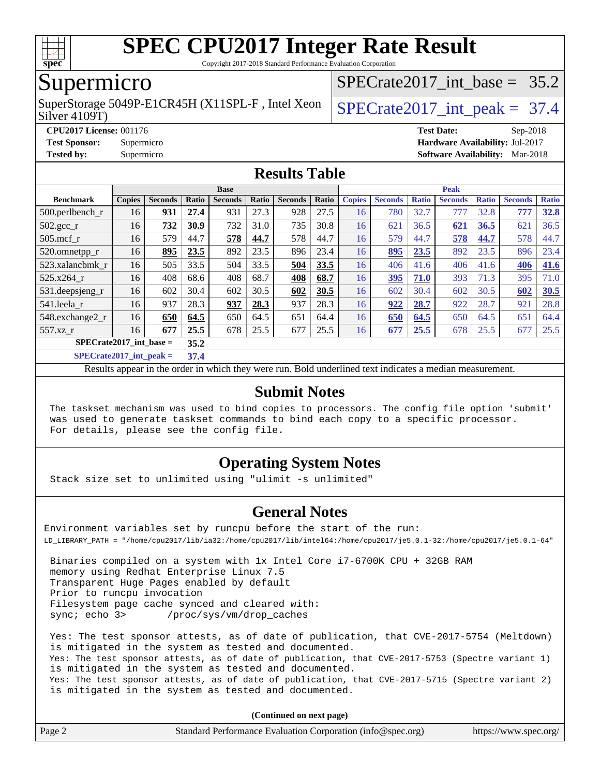

Copyright 2017-2018 Standard Performance Evaluation Corporation

## Supermicro

Silver 4109T) SuperStorage 5049P-E1CR45H (X11SPL-F, Intel Xeon  $\big|$  SPECrate 2017 int peak = 37.4

SPECrate2017 int\_base =  $35.2$ 

**[CPU2017 License:](http://www.spec.org/auto/cpu2017/Docs/result-fields.html#CPU2017License)** 001176 **[Test Date:](http://www.spec.org/auto/cpu2017/Docs/result-fields.html#TestDate)** Sep-2018 **[Test Sponsor:](http://www.spec.org/auto/cpu2017/Docs/result-fields.html#TestSponsor)** Supermicro **[Hardware Availability:](http://www.spec.org/auto/cpu2017/Docs/result-fields.html#HardwareAvailability)** Jul-2017 **[Tested by:](http://www.spec.org/auto/cpu2017/Docs/result-fields.html#Testedby)** Supermicro **[Software Availability:](http://www.spec.org/auto/cpu2017/Docs/result-fields.html#SoftwareAvailability)** Mar-2018

### **[Results Table](http://www.spec.org/auto/cpu2017/Docs/result-fields.html#ResultsTable)**

|                                    |               |                |              | <b>Base</b>    |       |                |       |               |                |              | <b>Peak</b>    |              |                |              |
|------------------------------------|---------------|----------------|--------------|----------------|-------|----------------|-------|---------------|----------------|--------------|----------------|--------------|----------------|--------------|
| <b>Benchmark</b>                   | <b>Copies</b> | <b>Seconds</b> | <b>Ratio</b> | <b>Seconds</b> | Ratio | <b>Seconds</b> | Ratio | <b>Copies</b> | <b>Seconds</b> | <b>Ratio</b> | <b>Seconds</b> | <b>Ratio</b> | <b>Seconds</b> | <b>Ratio</b> |
| 500.perlbench_r                    | 16            | 931            | 27.4         | 931            | 27.3  | 928            | 27.5  | 16            | 780            | 32.7         | 777            | 32.8         | 777            | 32.8         |
| $502.\text{gcc}$ _r                | 16            | 732            | 30.9         | 732            | 31.0  | 735            | 30.8  | 16            | 621            | 36.5         | 621            | 36.5         | 621            | 36.5         |
| $505$ .mcf r                       | 16            | 579            | 44.7         | 578            | 44.7  | 578            | 44.7  | 16            | 579            | 44.7         | 578            | 44.7         | 578            | 44.7         |
| 520.omnetpp_r                      | 16            | 895            | 23.5         | 892            | 23.5  | 896            | 23.4  | 16            | 895            | 23.5         | 892            | 23.5         | 896            | 23.4         |
| 523.xalancbmk r                    | 16            | 505            | 33.5         | 504            | 33.5  | 504            | 33.5  | 16            | 406            | 41.6         | 406            | 41.6         | 406            | 41.6         |
| 525.x264 r                         | 16            | 408            | 68.6         | 408            | 68.7  | 408            | 68.7  | 16            | 395            | 71.0         | 393            | 71.3         | 395            | 71.0         |
| 531.deepsjeng_r                    | 16            | 602            | 30.4         | 602            | 30.5  | 602            | 30.5  | 16            | 602            | 30.4         | 602            | 30.5         | 602            | 30.5         |
| 541.leela r                        | 16            | 937            | 28.3         | 937            | 28.3  | 937            | 28.3  | 16            | 922            | 28.7         | 922            | 28.7         | 921            | 28.8         |
| 548.exchange2_r                    | 16            | 650            | 64.5         | 650            | 64.5  | 651            | 64.4  | 16            | 650            | 64.5         | 650            | 64.5         | 651            | 64.4         |
| 557.xz r                           | 16            | 677            | 25.5         | 678            | 25.5  | 677            | 25.5  | 16            | 677            | 25.5         | 678            | 25.5         | 677            | 25.5         |
| $SPECrate2017$ int base =          |               |                | 35.2         |                |       |                |       |               |                |              |                |              |                |              |
| $C1$ $C2$ $A0$ $A1$ $A2$ $A3$ $A4$ |               |                | $-1$         |                |       |                |       |               |                |              |                |              |                |              |

**[SPECrate2017\\_int\\_peak =](http://www.spec.org/auto/cpu2017/Docs/result-fields.html#SPECrate2017intpeak) 37.4**

Results appear in the [order in which they were run](http://www.spec.org/auto/cpu2017/Docs/result-fields.html#RunOrder). Bold underlined text [indicates a median measurement](http://www.spec.org/auto/cpu2017/Docs/result-fields.html#Median).

### **[Submit Notes](http://www.spec.org/auto/cpu2017/Docs/result-fields.html#SubmitNotes)**

 The taskset mechanism was used to bind copies to processors. The config file option 'submit' was used to generate taskset commands to bind each copy to a specific processor. For details, please see the config file.

### **[Operating System Notes](http://www.spec.org/auto/cpu2017/Docs/result-fields.html#OperatingSystemNotes)**

Stack size set to unlimited using "ulimit -s unlimited"

### **[General Notes](http://www.spec.org/auto/cpu2017/Docs/result-fields.html#GeneralNotes)**

Environment variables set by runcpu before the start of the run: LD\_LIBRARY\_PATH = "/home/cpu2017/lib/ia32:/home/cpu2017/lib/intel64:/home/cpu2017/je5.0.1-32:/home/cpu2017/je5.0.1-64"

 Binaries compiled on a system with 1x Intel Core i7-6700K CPU + 32GB RAM memory using Redhat Enterprise Linux 7.5 Transparent Huge Pages enabled by default Prior to runcpu invocation Filesystem page cache synced and cleared with: sync; echo 3> /proc/sys/vm/drop\_caches

 Yes: The test sponsor attests, as of date of publication, that CVE-2017-5754 (Meltdown) is mitigated in the system as tested and documented. Yes: The test sponsor attests, as of date of publication, that CVE-2017-5753 (Spectre variant 1) is mitigated in the system as tested and documented. Yes: The test sponsor attests, as of date of publication, that CVE-2017-5715 (Spectre variant 2) is mitigated in the system as tested and documented.

**(Continued on next page)**

| Page 2<br>Standard Performance Evaluation Corporation (info@spec.org)<br>https://www.spec.org/ |
|------------------------------------------------------------------------------------------------|
|------------------------------------------------------------------------------------------------|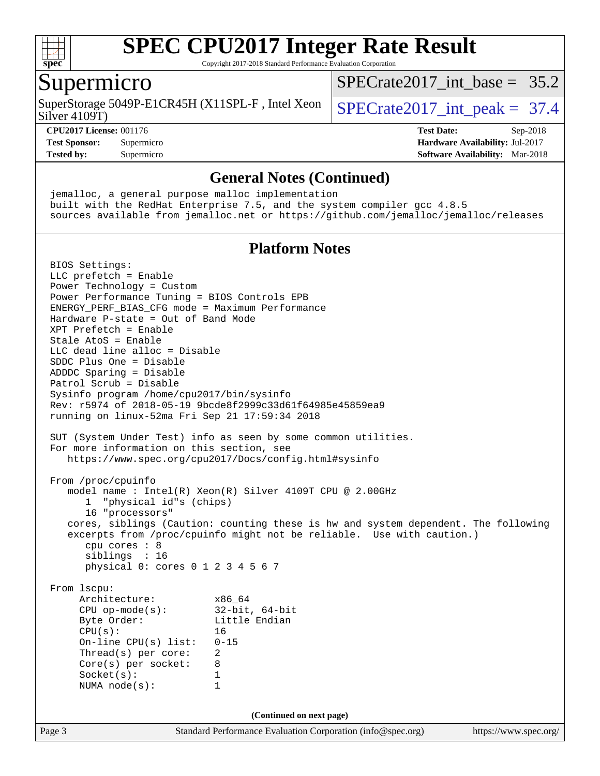

Copyright 2017-2018 Standard Performance Evaluation Corporation

### Supermicro

SuperStorage 5049P-E1CR45H (X11SPL-F, Intel Xeon  $\big|$  SPECrate2017 int peak = 37.4

[SPECrate2017\\_int\\_base =](http://www.spec.org/auto/cpu2017/Docs/result-fields.html#SPECrate2017intbase) 35.2

Silver 4109T)

#### **[CPU2017 License:](http://www.spec.org/auto/cpu2017/Docs/result-fields.html#CPU2017License)** 001176 **[Test Date:](http://www.spec.org/auto/cpu2017/Docs/result-fields.html#TestDate)** Sep-2018

**[Test Sponsor:](http://www.spec.org/auto/cpu2017/Docs/result-fields.html#TestSponsor)** Supermicro **[Hardware Availability:](http://www.spec.org/auto/cpu2017/Docs/result-fields.html#HardwareAvailability)** Jul-2017 **[Tested by:](http://www.spec.org/auto/cpu2017/Docs/result-fields.html#Testedby)** Supermicro **[Software Availability:](http://www.spec.org/auto/cpu2017/Docs/result-fields.html#SoftwareAvailability)** Mar-2018

### **[General Notes \(Continued\)](http://www.spec.org/auto/cpu2017/Docs/result-fields.html#GeneralNotes)**

 jemalloc, a general purpose malloc implementation built with the RedHat Enterprise 7.5, and the system compiler gcc 4.8.5 sources available from jemalloc.net or <https://github.com/jemalloc/jemalloc/releases>

### **[Platform Notes](http://www.spec.org/auto/cpu2017/Docs/result-fields.html#PlatformNotes)**

Page 3 Standard Performance Evaluation Corporation [\(info@spec.org\)](mailto:info@spec.org) <https://www.spec.org/> BIOS Settings: LLC prefetch = Enable Power Technology = Custom Power Performance Tuning = BIOS Controls EPB ENERGY\_PERF\_BIAS\_CFG mode = Maximum Performance Hardware P-state = Out of Band Mode XPT Prefetch = Enable Stale AtoS = Enable LLC dead line alloc = Disable SDDC Plus One = Disable ADDDC Sparing = Disable Patrol Scrub = Disable Sysinfo program /home/cpu2017/bin/sysinfo Rev: r5974 of 2018-05-19 9bcde8f2999c33d61f64985e45859ea9 running on linux-52ma Fri Sep 21 17:59:34 2018 SUT (System Under Test) info as seen by some common utilities. For more information on this section, see <https://www.spec.org/cpu2017/Docs/config.html#sysinfo> From /proc/cpuinfo model name : Intel(R) Xeon(R) Silver 4109T CPU @ 2.00GHz 1 "physical id"s (chips) 16 "processors" cores, siblings (Caution: counting these is hw and system dependent. The following excerpts from /proc/cpuinfo might not be reliable. Use with caution.) cpu cores : 8 siblings : 16 physical 0: cores 0 1 2 3 4 5 6 7 From lscpu: Architecture: x86\_64 CPU op-mode(s): 32-bit, 64-bit Byte Order: Little Endian CPU(s): 16 On-line CPU(s) list: 0-15 Thread(s) per core: 2 Core(s) per socket: 8 Socket(s): 1 NUMA node(s): 1 **(Continued on next page)**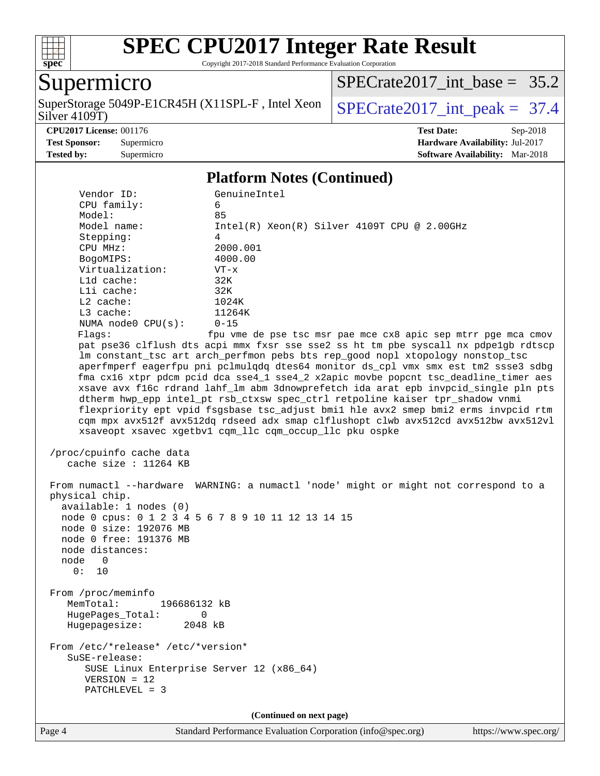

Copyright 2017-2018 Standard Performance Evaluation Corporation

### Supermicro

Silver 4109T) SuperStorage 5049P-E1CR45H (X11SPL-F, Intel Xeon  $\big|$  [SPECrate2017\\_int\\_peak =](http://www.spec.org/auto/cpu2017/Docs/result-fields.html#SPECrate2017intpeak) 37.4

[SPECrate2017\\_int\\_base =](http://www.spec.org/auto/cpu2017/Docs/result-fields.html#SPECrate2017intbase) 35.2

**[CPU2017 License:](http://www.spec.org/auto/cpu2017/Docs/result-fields.html#CPU2017License)** 001176 **[Test Date:](http://www.spec.org/auto/cpu2017/Docs/result-fields.html#TestDate)** Sep-2018 **[Test Sponsor:](http://www.spec.org/auto/cpu2017/Docs/result-fields.html#TestSponsor)** Supermicro **[Hardware Availability:](http://www.spec.org/auto/cpu2017/Docs/result-fields.html#HardwareAvailability)** Jul-2017 **[Tested by:](http://www.spec.org/auto/cpu2017/Docs/result-fields.html#Testedby)** Supermicro **Supermicro [Software Availability:](http://www.spec.org/auto/cpu2017/Docs/result-fields.html#SoftwareAvailability)** Mar-2018

#### **[Platform Notes \(Continued\)](http://www.spec.org/auto/cpu2017/Docs/result-fields.html#PlatformNotes)**

| Vendor ID:                                         | GenuineIntel                                                                                                                                                        |
|----------------------------------------------------|---------------------------------------------------------------------------------------------------------------------------------------------------------------------|
| CPU family:                                        | 6                                                                                                                                                                   |
| Model:                                             | 85                                                                                                                                                                  |
| Model name:                                        | $Intel(R) Xeon(R) Silver 4109T CPU @ 2.00GHz$                                                                                                                       |
| Stepping:                                          | 4                                                                                                                                                                   |
| CPU MHz:                                           | 2000.001                                                                                                                                                            |
| BogoMIPS:                                          | 4000.00                                                                                                                                                             |
| Virtualization:                                    | $VT - x$                                                                                                                                                            |
| L1d cache:                                         | 32K                                                                                                                                                                 |
| Lli cache:                                         | 32K                                                                                                                                                                 |
| L2 cache:                                          | 1024K                                                                                                                                                               |
| L3 cache:                                          | 11264K                                                                                                                                                              |
| NUMA node0 CPU(s):                                 | $0 - 15$                                                                                                                                                            |
| Flags:                                             | fpu vme de pse tsc msr pae mce cx8 apic sep mtrr pge mca cmov                                                                                                       |
|                                                    | pat pse36 clflush dts acpi mmx fxsr sse sse2 ss ht tm pbe syscall nx pdpelgb rdtscp                                                                                 |
|                                                    | lm constant_tsc art arch_perfmon pebs bts rep_good nopl xtopology nonstop_tsc                                                                                       |
|                                                    | aperfmperf eagerfpu pni pclmulqdq dtes64 monitor ds_cpl vmx smx est tm2 ssse3 sdbg                                                                                  |
|                                                    | fma cx16 xtpr pdcm pcid dca sse4_1 sse4_2 x2apic movbe popcnt tsc_deadline_timer aes                                                                                |
|                                                    | xsave avx f16c rdrand lahf_lm abm 3dnowprefetch ida arat epb invpcid_single pln pts<br>dtherm hwp_epp intel_pt rsb_ctxsw spec_ctrl retpoline kaiser tpr_shadow vnmi |
|                                                    | flexpriority ept vpid fsgsbase tsc adjust bmil hle avx2 smep bmi2 erms invpcid rtm                                                                                  |
|                                                    | cqm mpx avx512f avx512dq rdseed adx smap clflushopt clwb avx512cd avx512bw avx512vl                                                                                 |
|                                                    | xsaveopt xsavec xgetbvl cqm_llc cqm_occup_llc pku ospke                                                                                                             |
|                                                    |                                                                                                                                                                     |
| /proc/cpuinfo cache data                           |                                                                                                                                                                     |
| cache size : $11264$ KB                            |                                                                                                                                                                     |
|                                                    |                                                                                                                                                                     |
|                                                    | From numactl --hardware WARNING: a numactl 'node' might or might not correspond to a                                                                                |
| physical chip.                                     |                                                                                                                                                                     |
| available: 1 nodes (0)                             |                                                                                                                                                                     |
| node 0 cpus: 0 1 2 3 4 5 6 7 8 9 10 11 12 13 14 15 |                                                                                                                                                                     |
| node 0 size: 192076 MB                             |                                                                                                                                                                     |
| node 0 free: 191376 MB                             |                                                                                                                                                                     |
| node distances:                                    |                                                                                                                                                                     |
| node<br>$\overline{\phantom{0}}$                   |                                                                                                                                                                     |
| 0: 10                                              |                                                                                                                                                                     |
|                                                    |                                                                                                                                                                     |
| From /proc/meminfo                                 |                                                                                                                                                                     |
| MemTotal:<br>196686132 kB                          |                                                                                                                                                                     |
| HugePages_Total:<br>0                              |                                                                                                                                                                     |
| Hugepagesize:<br>2048 kB                           |                                                                                                                                                                     |
|                                                    |                                                                                                                                                                     |
| From /etc/*release* /etc/*version*                 |                                                                                                                                                                     |
| SuSE-release:                                      |                                                                                                                                                                     |
| SUSE Linux Enterprise Server 12 (x86 64)           |                                                                                                                                                                     |
| $VERSION = 12$                                     |                                                                                                                                                                     |
| PATCHLEVEL = 3                                     |                                                                                                                                                                     |
|                                                    |                                                                                                                                                                     |
|                                                    | (Continued on next page)                                                                                                                                            |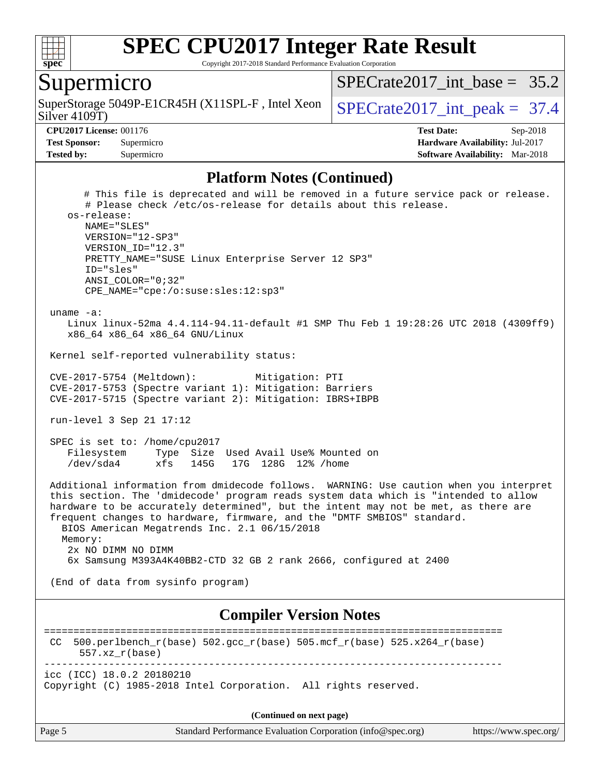

Copyright 2017-2018 Standard Performance Evaluation Corporation

### Supermicro

Silver 4109T) SuperStorage 5049P-E1CR45H (X11SPL-F, Intel Xeon  $\big|$  SPECrate2017 int peak = 37.4

SPECrate2017 int\_base =  $35.2$ 

**[CPU2017 License:](http://www.spec.org/auto/cpu2017/Docs/result-fields.html#CPU2017License)** 001176 **[Test Date:](http://www.spec.org/auto/cpu2017/Docs/result-fields.html#TestDate)** Sep-2018 **[Test Sponsor:](http://www.spec.org/auto/cpu2017/Docs/result-fields.html#TestSponsor)** Supermicro **[Hardware Availability:](http://www.spec.org/auto/cpu2017/Docs/result-fields.html#HardwareAvailability)** Jul-2017 **[Tested by:](http://www.spec.org/auto/cpu2017/Docs/result-fields.html#Testedby)** Supermicro **[Software Availability:](http://www.spec.org/auto/cpu2017/Docs/result-fields.html#SoftwareAvailability)** Mar-2018

#### **[Platform Notes \(Continued\)](http://www.spec.org/auto/cpu2017/Docs/result-fields.html#PlatformNotes)**

 # This file is deprecated and will be removed in a future service pack or release. # Please check /etc/os-release for details about this release. os-release: NAME="SLES" VERSION="12-SP3" VERSION\_ID="12.3" PRETTY\_NAME="SUSE Linux Enterprise Server 12 SP3" ID="sles" ANSI\_COLOR="0;32" CPE\_NAME="cpe:/o:suse:sles:12:sp3" uname -a: Linux linux-52ma 4.4.114-94.11-default #1 SMP Thu Feb 1 19:28:26 UTC 2018 (4309ff9) x86\_64 x86\_64 x86\_64 GNU/Linux Kernel self-reported vulnerability status: CVE-2017-5754 (Meltdown): Mitigation: PTI CVE-2017-5753 (Spectre variant 1): Mitigation: Barriers CVE-2017-5715 (Spectre variant 2): Mitigation: IBRS+IBPB run-level 3 Sep 21 17:12 SPEC is set to: /home/cpu2017 Filesystem Type Size Used Avail Use% Mounted on /dev/sda4 xfs 145G 17G 128G 12% /home Additional information from dmidecode follows. WARNING: Use caution when you interpret this section. The 'dmidecode' program reads system data which is "intended to allow hardware to be accurately determined", but the intent may not be met, as there are frequent changes to hardware, firmware, and the "DMTF SMBIOS" standard. BIOS American Megatrends Inc. 2.1 06/15/2018 Memory: 2x NO DIMM NO DIMM 6x Samsung M393A4K40BB2-CTD 32 GB 2 rank 2666, configured at 2400 (End of data from sysinfo program) **[Compiler Version Notes](http://www.spec.org/auto/cpu2017/Docs/result-fields.html#CompilerVersionNotes)** ============================================================================== CC 500.perlbench\_r(base) 502.gcc\_r(base) 505.mcf\_r(base) 525.x264\_r(base) 557.xz\_r(base) ----------------------------------------------------------------------------- icc (ICC) 18.0.2 20180210

Copyright (C) 1985-2018 Intel Corporation. All rights reserved.

Page 5 Standard Performance Evaluation Corporation [\(info@spec.org\)](mailto:info@spec.org) <https://www.spec.org/> **(Continued on next page)**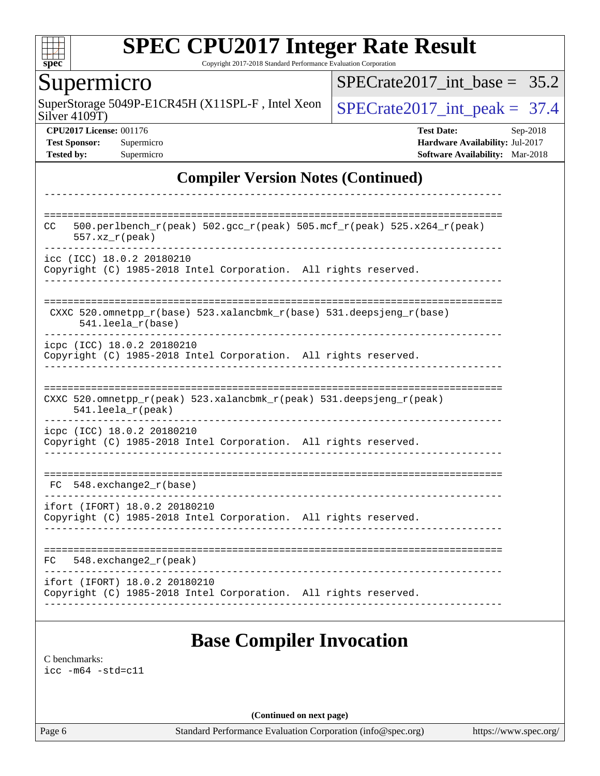

Copyright 2017-2018 Standard Performance Evaluation Corporation

### Supermicro

Silver 4109T) SuperStorage 5049P-E1CR45H (X11SPL-F, Intel Xeon  $\big|$  [SPECrate2017\\_int\\_peak =](http://www.spec.org/auto/cpu2017/Docs/result-fields.html#SPECrate2017intpeak) 37.4

[SPECrate2017\\_int\\_base =](http://www.spec.org/auto/cpu2017/Docs/result-fields.html#SPECrate2017intbase) 35.2

**[CPU2017 License:](http://www.spec.org/auto/cpu2017/Docs/result-fields.html#CPU2017License)** 001176 **[Test Date:](http://www.spec.org/auto/cpu2017/Docs/result-fields.html#TestDate)** Sep-2018 **[Test Sponsor:](http://www.spec.org/auto/cpu2017/Docs/result-fields.html#TestSponsor)** Supermicro **[Hardware Availability:](http://www.spec.org/auto/cpu2017/Docs/result-fields.html#HardwareAvailability)** Jul-2017 **[Tested by:](http://www.spec.org/auto/cpu2017/Docs/result-fields.html#Testedby)** Supermicro **Supermicro [Software Availability:](http://www.spec.org/auto/cpu2017/Docs/result-fields.html#SoftwareAvailability)** Mar-2018

### **[Compiler Version Notes \(Continued\)](http://www.spec.org/auto/cpu2017/Docs/result-fields.html#CompilerVersionNotes)**

| CC  | 500.perlbench_r(peak) 502.gcc_r(peak) 505.mcf_r(peak) 525.x264_r(peak)<br>$557. xz_r (peak)$     |
|-----|--------------------------------------------------------------------------------------------------|
|     | icc (ICC) 18.0.2 20180210<br>Copyright (C) 1985-2018 Intel Corporation. All rights reserved.     |
|     | CXXC 520.omnetpp_r(base) 523.xalancbmk_r(base) 531.deepsjeng_r(base)<br>$541.$ leela_ $r$ (base) |
|     | icpc (ICC) 18.0.2 20180210<br>Copyright (C) 1985-2018 Intel Corporation. All rights reserved.    |
|     | CXXC 520.omnetpp_r(peak) 523.xalancbmk_r(peak) 531.deepsjeng_r(peak)<br>541.leela_r(peak)        |
|     | icpc (ICC) 18.0.2 20180210<br>Copyright (C) 1985-2018 Intel Corporation. All rights reserved.    |
| FC. | $548$ . exchange $2r$ (base)                                                                     |
|     | ifort (IFORT) 18.0.2 20180210<br>Copyright (C) 1985-2018 Intel Corporation. All rights reserved. |
| FC  | $548$ . exchange $2r$ (peak)                                                                     |
|     | ifort (IFORT) 18.0.2 20180210<br>Copyright (C) 1985-2018 Intel Corporation. All rights reserved. |

[C benchmarks](http://www.spec.org/auto/cpu2017/Docs/result-fields.html#Cbenchmarks): [icc -m64 -std=c11](http://www.spec.org/cpu2017/results/res2018q4/cpu2017-20181002-09045.flags.html#user_CCbase_intel_icc_64bit_c11_33ee0cdaae7deeeab2a9725423ba97205ce30f63b9926c2519791662299b76a0318f32ddfffdc46587804de3178b4f9328c46fa7c2b0cd779d7a61945c91cd35)

**(Continued on next page)**

Page 6 Standard Performance Evaluation Corporation [\(info@spec.org\)](mailto:info@spec.org) <https://www.spec.org/>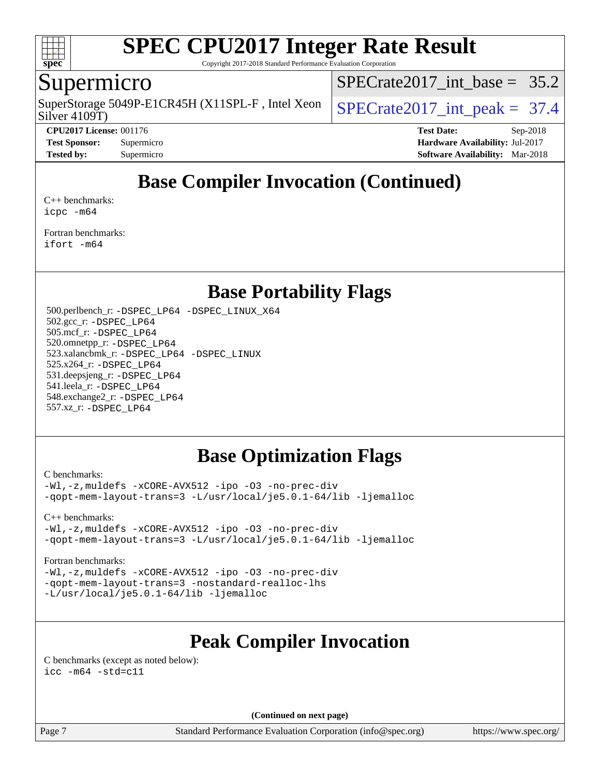

Copyright 2017-2018 Standard Performance Evaluation Corporation

### Supermicro

Silver 4109T) SuperStorage 5049P-E1CR45H (X11SPL-F, Intel Xeon  $\big|$  SPECrate2017 int peak = 37.4

SPECrate2017 int\_base =  $35.2$ 

**[CPU2017 License:](http://www.spec.org/auto/cpu2017/Docs/result-fields.html#CPU2017License)** 001176 **[Test Date:](http://www.spec.org/auto/cpu2017/Docs/result-fields.html#TestDate)** Sep-2018 **[Test Sponsor:](http://www.spec.org/auto/cpu2017/Docs/result-fields.html#TestSponsor)** Supermicro **[Hardware Availability:](http://www.spec.org/auto/cpu2017/Docs/result-fields.html#HardwareAvailability)** Jul-2017 **[Tested by:](http://www.spec.org/auto/cpu2017/Docs/result-fields.html#Testedby)** Supermicro **[Software Availability:](http://www.spec.org/auto/cpu2017/Docs/result-fields.html#SoftwareAvailability)** Mar-2018

## **[Base Compiler Invocation \(Continued\)](http://www.spec.org/auto/cpu2017/Docs/result-fields.html#BaseCompilerInvocation)**

[C++ benchmarks:](http://www.spec.org/auto/cpu2017/Docs/result-fields.html#CXXbenchmarks) [icpc -m64](http://www.spec.org/cpu2017/results/res2018q4/cpu2017-20181002-09045.flags.html#user_CXXbase_intel_icpc_64bit_4ecb2543ae3f1412ef961e0650ca070fec7b7afdcd6ed48761b84423119d1bf6bdf5cad15b44d48e7256388bc77273b966e5eb805aefd121eb22e9299b2ec9d9)

[Fortran benchmarks](http://www.spec.org/auto/cpu2017/Docs/result-fields.html#Fortranbenchmarks): [ifort -m64](http://www.spec.org/cpu2017/results/res2018q4/cpu2017-20181002-09045.flags.html#user_FCbase_intel_ifort_64bit_24f2bb282fbaeffd6157abe4f878425411749daecae9a33200eee2bee2fe76f3b89351d69a8130dd5949958ce389cf37ff59a95e7a40d588e8d3a57e0c3fd751)

### **[Base Portability Flags](http://www.spec.org/auto/cpu2017/Docs/result-fields.html#BasePortabilityFlags)**

 500.perlbench\_r: [-DSPEC\\_LP64](http://www.spec.org/cpu2017/results/res2018q4/cpu2017-20181002-09045.flags.html#b500.perlbench_r_basePORTABILITY_DSPEC_LP64) [-DSPEC\\_LINUX\\_X64](http://www.spec.org/cpu2017/results/res2018q4/cpu2017-20181002-09045.flags.html#b500.perlbench_r_baseCPORTABILITY_DSPEC_LINUX_X64) 502.gcc\_r: [-DSPEC\\_LP64](http://www.spec.org/cpu2017/results/res2018q4/cpu2017-20181002-09045.flags.html#suite_basePORTABILITY502_gcc_r_DSPEC_LP64) 505.mcf\_r: [-DSPEC\\_LP64](http://www.spec.org/cpu2017/results/res2018q4/cpu2017-20181002-09045.flags.html#suite_basePORTABILITY505_mcf_r_DSPEC_LP64) 520.omnetpp\_r: [-DSPEC\\_LP64](http://www.spec.org/cpu2017/results/res2018q4/cpu2017-20181002-09045.flags.html#suite_basePORTABILITY520_omnetpp_r_DSPEC_LP64) 523.xalancbmk\_r: [-DSPEC\\_LP64](http://www.spec.org/cpu2017/results/res2018q4/cpu2017-20181002-09045.flags.html#suite_basePORTABILITY523_xalancbmk_r_DSPEC_LP64) [-DSPEC\\_LINUX](http://www.spec.org/cpu2017/results/res2018q4/cpu2017-20181002-09045.flags.html#b523.xalancbmk_r_baseCXXPORTABILITY_DSPEC_LINUX) 525.x264\_r: [-DSPEC\\_LP64](http://www.spec.org/cpu2017/results/res2018q4/cpu2017-20181002-09045.flags.html#suite_basePORTABILITY525_x264_r_DSPEC_LP64) 531.deepsjeng\_r: [-DSPEC\\_LP64](http://www.spec.org/cpu2017/results/res2018q4/cpu2017-20181002-09045.flags.html#suite_basePORTABILITY531_deepsjeng_r_DSPEC_LP64) 541.leela\_r: [-DSPEC\\_LP64](http://www.spec.org/cpu2017/results/res2018q4/cpu2017-20181002-09045.flags.html#suite_basePORTABILITY541_leela_r_DSPEC_LP64) 548.exchange2\_r: [-DSPEC\\_LP64](http://www.spec.org/cpu2017/results/res2018q4/cpu2017-20181002-09045.flags.html#suite_basePORTABILITY548_exchange2_r_DSPEC_LP64) 557.xz\_r: [-DSPEC\\_LP64](http://www.spec.org/cpu2017/results/res2018q4/cpu2017-20181002-09045.flags.html#suite_basePORTABILITY557_xz_r_DSPEC_LP64)

### **[Base Optimization Flags](http://www.spec.org/auto/cpu2017/Docs/result-fields.html#BaseOptimizationFlags)**

[C benchmarks](http://www.spec.org/auto/cpu2017/Docs/result-fields.html#Cbenchmarks):

[-Wl,-z,muldefs](http://www.spec.org/cpu2017/results/res2018q4/cpu2017-20181002-09045.flags.html#user_CCbase_link_force_multiple1_b4cbdb97b34bdee9ceefcfe54f4c8ea74255f0b02a4b23e853cdb0e18eb4525ac79b5a88067c842dd0ee6996c24547a27a4b99331201badda8798ef8a743f577) [-xCORE-AVX512](http://www.spec.org/cpu2017/results/res2018q4/cpu2017-20181002-09045.flags.html#user_CCbase_f-xCORE-AVX512) [-ipo](http://www.spec.org/cpu2017/results/res2018q4/cpu2017-20181002-09045.flags.html#user_CCbase_f-ipo) [-O3](http://www.spec.org/cpu2017/results/res2018q4/cpu2017-20181002-09045.flags.html#user_CCbase_f-O3) [-no-prec-div](http://www.spec.org/cpu2017/results/res2018q4/cpu2017-20181002-09045.flags.html#user_CCbase_f-no-prec-div) [-qopt-mem-layout-trans=3](http://www.spec.org/cpu2017/results/res2018q4/cpu2017-20181002-09045.flags.html#user_CCbase_f-qopt-mem-layout-trans_de80db37974c74b1f0e20d883f0b675c88c3b01e9d123adea9b28688d64333345fb62bc4a798493513fdb68f60282f9a726aa07f478b2f7113531aecce732043) [-L/usr/local/je5.0.1-64/lib](http://www.spec.org/cpu2017/results/res2018q4/cpu2017-20181002-09045.flags.html#user_CCbase_jemalloc_link_path64_4b10a636b7bce113509b17f3bd0d6226c5fb2346b9178c2d0232c14f04ab830f976640479e5c33dc2bcbbdad86ecfb6634cbbd4418746f06f368b512fced5394) [-ljemalloc](http://www.spec.org/cpu2017/results/res2018q4/cpu2017-20181002-09045.flags.html#user_CCbase_jemalloc_link_lib_d1249b907c500fa1c0672f44f562e3d0f79738ae9e3c4a9c376d49f265a04b9c99b167ecedbf6711b3085be911c67ff61f150a17b3472be731631ba4d0471706)

[C++ benchmarks:](http://www.spec.org/auto/cpu2017/Docs/result-fields.html#CXXbenchmarks)

[-Wl,-z,muldefs](http://www.spec.org/cpu2017/results/res2018q4/cpu2017-20181002-09045.flags.html#user_CXXbase_link_force_multiple1_b4cbdb97b34bdee9ceefcfe54f4c8ea74255f0b02a4b23e853cdb0e18eb4525ac79b5a88067c842dd0ee6996c24547a27a4b99331201badda8798ef8a743f577) [-xCORE-AVX512](http://www.spec.org/cpu2017/results/res2018q4/cpu2017-20181002-09045.flags.html#user_CXXbase_f-xCORE-AVX512) [-ipo](http://www.spec.org/cpu2017/results/res2018q4/cpu2017-20181002-09045.flags.html#user_CXXbase_f-ipo) [-O3](http://www.spec.org/cpu2017/results/res2018q4/cpu2017-20181002-09045.flags.html#user_CXXbase_f-O3) [-no-prec-div](http://www.spec.org/cpu2017/results/res2018q4/cpu2017-20181002-09045.flags.html#user_CXXbase_f-no-prec-div) [-qopt-mem-layout-trans=3](http://www.spec.org/cpu2017/results/res2018q4/cpu2017-20181002-09045.flags.html#user_CXXbase_f-qopt-mem-layout-trans_de80db37974c74b1f0e20d883f0b675c88c3b01e9d123adea9b28688d64333345fb62bc4a798493513fdb68f60282f9a726aa07f478b2f7113531aecce732043) [-L/usr/local/je5.0.1-64/lib](http://www.spec.org/cpu2017/results/res2018q4/cpu2017-20181002-09045.flags.html#user_CXXbase_jemalloc_link_path64_4b10a636b7bce113509b17f3bd0d6226c5fb2346b9178c2d0232c14f04ab830f976640479e5c33dc2bcbbdad86ecfb6634cbbd4418746f06f368b512fced5394) [-ljemalloc](http://www.spec.org/cpu2017/results/res2018q4/cpu2017-20181002-09045.flags.html#user_CXXbase_jemalloc_link_lib_d1249b907c500fa1c0672f44f562e3d0f79738ae9e3c4a9c376d49f265a04b9c99b167ecedbf6711b3085be911c67ff61f150a17b3472be731631ba4d0471706)

#### [Fortran benchmarks](http://www.spec.org/auto/cpu2017/Docs/result-fields.html#Fortranbenchmarks):

[-Wl,-z,muldefs](http://www.spec.org/cpu2017/results/res2018q4/cpu2017-20181002-09045.flags.html#user_FCbase_link_force_multiple1_b4cbdb97b34bdee9ceefcfe54f4c8ea74255f0b02a4b23e853cdb0e18eb4525ac79b5a88067c842dd0ee6996c24547a27a4b99331201badda8798ef8a743f577) [-xCORE-AVX512](http://www.spec.org/cpu2017/results/res2018q4/cpu2017-20181002-09045.flags.html#user_FCbase_f-xCORE-AVX512) [-ipo](http://www.spec.org/cpu2017/results/res2018q4/cpu2017-20181002-09045.flags.html#user_FCbase_f-ipo) [-O3](http://www.spec.org/cpu2017/results/res2018q4/cpu2017-20181002-09045.flags.html#user_FCbase_f-O3) [-no-prec-div](http://www.spec.org/cpu2017/results/res2018q4/cpu2017-20181002-09045.flags.html#user_FCbase_f-no-prec-div) [-qopt-mem-layout-trans=3](http://www.spec.org/cpu2017/results/res2018q4/cpu2017-20181002-09045.flags.html#user_FCbase_f-qopt-mem-layout-trans_de80db37974c74b1f0e20d883f0b675c88c3b01e9d123adea9b28688d64333345fb62bc4a798493513fdb68f60282f9a726aa07f478b2f7113531aecce732043) [-nostandard-realloc-lhs](http://www.spec.org/cpu2017/results/res2018q4/cpu2017-20181002-09045.flags.html#user_FCbase_f_2003_std_realloc_82b4557e90729c0f113870c07e44d33d6f5a304b4f63d4c15d2d0f1fab99f5daaed73bdb9275d9ae411527f28b936061aa8b9c8f2d63842963b95c9dd6426b8a) [-L/usr/local/je5.0.1-64/lib](http://www.spec.org/cpu2017/results/res2018q4/cpu2017-20181002-09045.flags.html#user_FCbase_jemalloc_link_path64_4b10a636b7bce113509b17f3bd0d6226c5fb2346b9178c2d0232c14f04ab830f976640479e5c33dc2bcbbdad86ecfb6634cbbd4418746f06f368b512fced5394) [-ljemalloc](http://www.spec.org/cpu2017/results/res2018q4/cpu2017-20181002-09045.flags.html#user_FCbase_jemalloc_link_lib_d1249b907c500fa1c0672f44f562e3d0f79738ae9e3c4a9c376d49f265a04b9c99b167ecedbf6711b3085be911c67ff61f150a17b3472be731631ba4d0471706)

## **[Peak Compiler Invocation](http://www.spec.org/auto/cpu2017/Docs/result-fields.html#PeakCompilerInvocation)**

[C benchmarks \(except as noted below\)](http://www.spec.org/auto/cpu2017/Docs/result-fields.html#Cbenchmarksexceptasnotedbelow): [icc -m64 -std=c11](http://www.spec.org/cpu2017/results/res2018q4/cpu2017-20181002-09045.flags.html#user_CCpeak_intel_icc_64bit_c11_33ee0cdaae7deeeab2a9725423ba97205ce30f63b9926c2519791662299b76a0318f32ddfffdc46587804de3178b4f9328c46fa7c2b0cd779d7a61945c91cd35)

**(Continued on next page)**

Page 7 Standard Performance Evaluation Corporation [\(info@spec.org\)](mailto:info@spec.org) <https://www.spec.org/>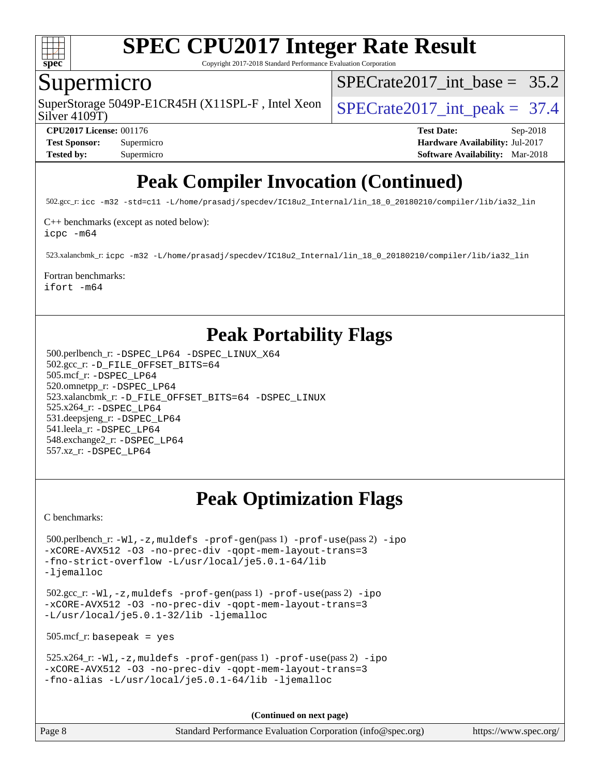

Copyright 2017-2018 Standard Performance Evaluation Corporation

### Supermicro

Silver 4109T) SuperStorage 5049P-E1CR45H (X11SPL-F, Intel Xeon  $\big|$  SPECrate2017 int peak = 37.4

SPECrate2017 int\_base =  $35.2$ 

**[CPU2017 License:](http://www.spec.org/auto/cpu2017/Docs/result-fields.html#CPU2017License)** 001176 **[Test Date:](http://www.spec.org/auto/cpu2017/Docs/result-fields.html#TestDate)** Sep-2018 **[Test Sponsor:](http://www.spec.org/auto/cpu2017/Docs/result-fields.html#TestSponsor)** Supermicro **[Hardware Availability:](http://www.spec.org/auto/cpu2017/Docs/result-fields.html#HardwareAvailability)** Jul-2017 **[Tested by:](http://www.spec.org/auto/cpu2017/Docs/result-fields.html#Testedby)** Supermicro **[Software Availability:](http://www.spec.org/auto/cpu2017/Docs/result-fields.html#SoftwareAvailability)** Mar-2018

# **[Peak Compiler Invocation \(Continued\)](http://www.spec.org/auto/cpu2017/Docs/result-fields.html#PeakCompilerInvocation)**

502.gcc\_r: [icc -m32 -std=c11 -L/home/prasadj/specdev/IC18u2\\_Internal/lin\\_18\\_0\\_20180210/compiler/lib/ia32\\_lin](http://www.spec.org/cpu2017/results/res2018q4/cpu2017-20181002-09045.flags.html#user_peakCCLD502_gcc_r_intel_icc_a481ac844e7127046fad14d498c730a1848fa901fbbb2c3dfdd5e9fbbac777c8009953946d55d8b6afe8ed0da70dd2b4f8dedbdf7ab1ee211ba70d24a5d89f85)

[C++ benchmarks \(except as noted below\):](http://www.spec.org/auto/cpu2017/Docs/result-fields.html#CXXbenchmarksexceptasnotedbelow)

[icpc -m64](http://www.spec.org/cpu2017/results/res2018q4/cpu2017-20181002-09045.flags.html#user_CXXpeak_intel_icpc_64bit_4ecb2543ae3f1412ef961e0650ca070fec7b7afdcd6ed48761b84423119d1bf6bdf5cad15b44d48e7256388bc77273b966e5eb805aefd121eb22e9299b2ec9d9)

523.xalancbmk\_r: [icpc -m32 -L/home/prasadj/specdev/IC18u2\\_Internal/lin\\_18\\_0\\_20180210/compiler/lib/ia32\\_lin](http://www.spec.org/cpu2017/results/res2018q4/cpu2017-20181002-09045.flags.html#user_peakCXXLD523_xalancbmk_r_intel_icpc_c6d030cd79af6ea7d6fb64c57e8fe7ae8fe0b96fc5a3b3f4a10e3273b3d7fa9decd8263f6330cef23f751cb093a69fae84a2bf4c243500a8eed069248128076f)

### [Fortran benchmarks](http://www.spec.org/auto/cpu2017/Docs/result-fields.html#Fortranbenchmarks):

[ifort -m64](http://www.spec.org/cpu2017/results/res2018q4/cpu2017-20181002-09045.flags.html#user_FCpeak_intel_ifort_64bit_24f2bb282fbaeffd6157abe4f878425411749daecae9a33200eee2bee2fe76f3b89351d69a8130dd5949958ce389cf37ff59a95e7a40d588e8d3a57e0c3fd751)

## **[Peak Portability Flags](http://www.spec.org/auto/cpu2017/Docs/result-fields.html#PeakPortabilityFlags)**

 500.perlbench\_r: [-DSPEC\\_LP64](http://www.spec.org/cpu2017/results/res2018q4/cpu2017-20181002-09045.flags.html#b500.perlbench_r_peakPORTABILITY_DSPEC_LP64) [-DSPEC\\_LINUX\\_X64](http://www.spec.org/cpu2017/results/res2018q4/cpu2017-20181002-09045.flags.html#b500.perlbench_r_peakCPORTABILITY_DSPEC_LINUX_X64) 502.gcc\_r: [-D\\_FILE\\_OFFSET\\_BITS=64](http://www.spec.org/cpu2017/results/res2018q4/cpu2017-20181002-09045.flags.html#user_peakPORTABILITY502_gcc_r_file_offset_bits_64_5ae949a99b284ddf4e95728d47cb0843d81b2eb0e18bdfe74bbf0f61d0b064f4bda2f10ea5eb90e1dcab0e84dbc592acfc5018bc955c18609f94ddb8d550002c) 505.mcf\_r: [-DSPEC\\_LP64](http://www.spec.org/cpu2017/results/res2018q4/cpu2017-20181002-09045.flags.html#suite_peakPORTABILITY505_mcf_r_DSPEC_LP64) 520.omnetpp\_r: [-DSPEC\\_LP64](http://www.spec.org/cpu2017/results/res2018q4/cpu2017-20181002-09045.flags.html#suite_peakPORTABILITY520_omnetpp_r_DSPEC_LP64) 523.xalancbmk\_r: [-D\\_FILE\\_OFFSET\\_BITS=64](http://www.spec.org/cpu2017/results/res2018q4/cpu2017-20181002-09045.flags.html#user_peakPORTABILITY523_xalancbmk_r_file_offset_bits_64_5ae949a99b284ddf4e95728d47cb0843d81b2eb0e18bdfe74bbf0f61d0b064f4bda2f10ea5eb90e1dcab0e84dbc592acfc5018bc955c18609f94ddb8d550002c) [-DSPEC\\_LINUX](http://www.spec.org/cpu2017/results/res2018q4/cpu2017-20181002-09045.flags.html#b523.xalancbmk_r_peakCXXPORTABILITY_DSPEC_LINUX) 525.x264\_r: [-DSPEC\\_LP64](http://www.spec.org/cpu2017/results/res2018q4/cpu2017-20181002-09045.flags.html#suite_peakPORTABILITY525_x264_r_DSPEC_LP64) 531.deepsjeng\_r: [-DSPEC\\_LP64](http://www.spec.org/cpu2017/results/res2018q4/cpu2017-20181002-09045.flags.html#suite_peakPORTABILITY531_deepsjeng_r_DSPEC_LP64) 541.leela\_r: [-DSPEC\\_LP64](http://www.spec.org/cpu2017/results/res2018q4/cpu2017-20181002-09045.flags.html#suite_peakPORTABILITY541_leela_r_DSPEC_LP64) 548.exchange2\_r: [-DSPEC\\_LP64](http://www.spec.org/cpu2017/results/res2018q4/cpu2017-20181002-09045.flags.html#suite_peakPORTABILITY548_exchange2_r_DSPEC_LP64) 557.xz\_r: [-DSPEC\\_LP64](http://www.spec.org/cpu2017/results/res2018q4/cpu2017-20181002-09045.flags.html#suite_peakPORTABILITY557_xz_r_DSPEC_LP64)

# **[Peak Optimization Flags](http://www.spec.org/auto/cpu2017/Docs/result-fields.html#PeakOptimizationFlags)**

[C benchmarks](http://www.spec.org/auto/cpu2017/Docs/result-fields.html#Cbenchmarks):

```
 500.perlbench_r: -Wl,-z,muldefs -prof-gen(pass 1) -prof-use(pass 2) -ipo
-xCORE-AVX512 -O3 -no-prec-div -qopt-mem-layout-trans=3
-fno-strict-overflow -L/usr/local/je5.0.1-64/lib
-ljemalloc
```
 502.gcc\_r: [-Wl,-z,muldefs](http://www.spec.org/cpu2017/results/res2018q4/cpu2017-20181002-09045.flags.html#user_peakEXTRA_LDFLAGS502_gcc_r_link_force_multiple1_b4cbdb97b34bdee9ceefcfe54f4c8ea74255f0b02a4b23e853cdb0e18eb4525ac79b5a88067c842dd0ee6996c24547a27a4b99331201badda8798ef8a743f577) [-prof-gen](http://www.spec.org/cpu2017/results/res2018q4/cpu2017-20181002-09045.flags.html#user_peakPASS1_CFLAGSPASS1_LDFLAGS502_gcc_r_prof_gen_5aa4926d6013ddb2a31985c654b3eb18169fc0c6952a63635c234f711e6e63dd76e94ad52365559451ec499a2cdb89e4dc58ba4c67ef54ca681ffbe1461d6b36)(pass 1) [-prof-use](http://www.spec.org/cpu2017/results/res2018q4/cpu2017-20181002-09045.flags.html#user_peakPASS2_CFLAGSPASS2_LDFLAGS502_gcc_r_prof_use_1a21ceae95f36a2b53c25747139a6c16ca95bd9def2a207b4f0849963b97e94f5260e30a0c64f4bb623698870e679ca08317ef8150905d41bd88c6f78df73f19)(pass 2) [-ipo](http://www.spec.org/cpu2017/results/res2018q4/cpu2017-20181002-09045.flags.html#user_peakPASS1_COPTIMIZEPASS2_COPTIMIZE502_gcc_r_f-ipo) [-xCORE-AVX512](http://www.spec.org/cpu2017/results/res2018q4/cpu2017-20181002-09045.flags.html#user_peakPASS2_COPTIMIZE502_gcc_r_f-xCORE-AVX512) [-O3](http://www.spec.org/cpu2017/results/res2018q4/cpu2017-20181002-09045.flags.html#user_peakPASS1_COPTIMIZEPASS2_COPTIMIZE502_gcc_r_f-O3) [-no-prec-div](http://www.spec.org/cpu2017/results/res2018q4/cpu2017-20181002-09045.flags.html#user_peakPASS1_COPTIMIZEPASS2_COPTIMIZE502_gcc_r_f-no-prec-div) [-qopt-mem-layout-trans=3](http://www.spec.org/cpu2017/results/res2018q4/cpu2017-20181002-09045.flags.html#user_peakPASS1_COPTIMIZEPASS2_COPTIMIZE502_gcc_r_f-qopt-mem-layout-trans_de80db37974c74b1f0e20d883f0b675c88c3b01e9d123adea9b28688d64333345fb62bc4a798493513fdb68f60282f9a726aa07f478b2f7113531aecce732043) [-L/usr/local/je5.0.1-32/lib](http://www.spec.org/cpu2017/results/res2018q4/cpu2017-20181002-09045.flags.html#user_peakEXTRA_LIBS502_gcc_r_jemalloc_link_path32_e29f22e8e6c17053bbc6a0971f5a9c01a601a06bb1a59df2084b77a2fe0a2995b64fd4256feaeea39eeba3aae142e96e2b2b0a28974019c0c0c88139a84f900a) [-ljemalloc](http://www.spec.org/cpu2017/results/res2018q4/cpu2017-20181002-09045.flags.html#user_peakEXTRA_LIBS502_gcc_r_jemalloc_link_lib_d1249b907c500fa1c0672f44f562e3d0f79738ae9e3c4a9c376d49f265a04b9c99b167ecedbf6711b3085be911c67ff61f150a17b3472be731631ba4d0471706)

505.mcf\_r: basepeak = yes

```
 525.x264_r: -Wl,-z,muldefs -prof-gen(pass 1) -prof-use(pass 2) -ipo
-xCORE-AVX512 -O3 -no-prec-div -qopt-mem-layout-trans=3
-fno-alias -L/usr/local/je5.0.1-64/lib -ljemalloc
```
**(Continued on next page)**